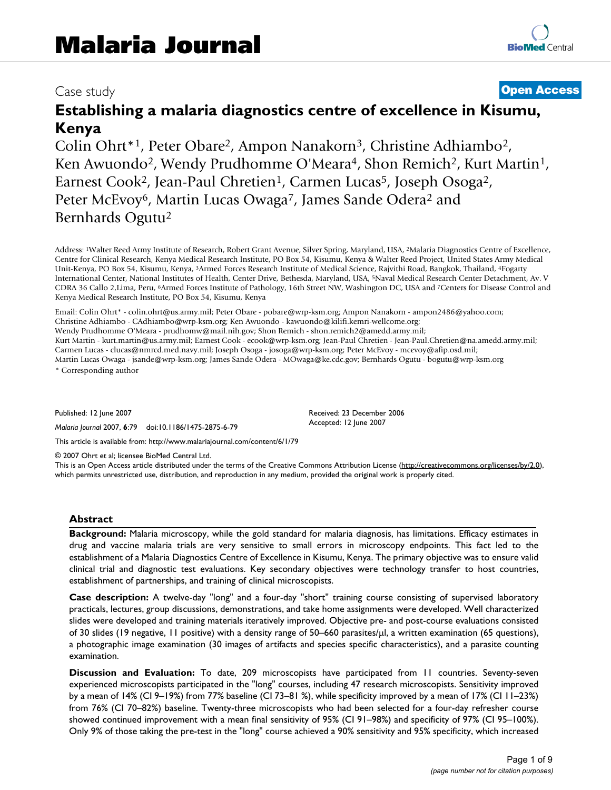# Case study **[Open Access](http://www.biomedcentral.com/info/about/charter/)**

# **Establishing a malaria diagnostics centre of excellence in Kisumu, Kenya**

Colin Ohrt<sup>\*1</sup>, Peter Obare<sup>2</sup>, Ampon Nanakorn<sup>3</sup>, Christine Adhiambo<sup>2</sup>, Ken Awuondo<sup>2</sup>, Wendy Prudhomme O'Meara<sup>4</sup>, Shon Remich<sup>2</sup>, Kurt Martin<sup>1</sup>, Earnest Cook<sup>2</sup>, Jean-Paul Chretien<sup>1</sup>, Carmen Lucas<sup>5</sup>, Joseph Osoga<sup>2</sup>, Peter McEvoy<sup>6</sup>, Martin Lucas Owaga<sup>7</sup>, James Sande Odera<sup>2</sup> and Bernhards Ogutu2

Address: 1Walter Reed Army Institute of Research, Robert Grant Avenue, Silver Spring, Maryland, USA, 2Malaria Diagnostics Centre of Excellence, Centre for Clinical Research, Kenya Medical Research Institute, PO Box 54, Kisumu, Kenya & Walter Reed Project, United States Army Medical Unit-Kenya, PO Box 54, Kisumu, Kenya, 3Armed Forces Research Institute of Medical Science, Rajvithi Road, Bangkok, Thailand, 4Fogarty International Center, National Institutes of Health, Center Drive, Bethesda, Maryland, USA, 5Naval Medical Research Center Detachment, Av. V CDRA 36 Callo 2,Lima, Peru, 6Armed Forces Institute of Pathology, 16th Street NW, Washington DC, USA and 7Centers for Disease Control and Kenya Medical Research Institute, PO Box 54, Kisumu, Kenya

Email: Colin Ohrt\* - colin.ohrt@us.army.mil; Peter Obare - pobare@wrp-ksm.org; Ampon Nanakorn - ampon2486@yahoo.com; Christine Adhiambo - CAdhiambo@wrp-ksm.org; Ken Awuondo - kawuondo@kilifi.kemri-wellcome.org; Wendy Prudhomme O'Meara - prudhomw@mail.nih.gov; Shon Remich - shon.remich2@amedd.army.mil; Kurt Martin - kurt.martin@us.army.mil; Earnest Cook - ecook@wrp-ksm.org; Jean-Paul Chretien - Jean-Paul.Chretien@na.amedd.army.mil; Carmen Lucas - clucas@nmrcd.med.navy.mil; Joseph Osoga - josoga@wrp-ksm.org; Peter McEvoy - mcevoy@afip.osd.mil; Martin Lucas Owaga - jsande@wrp-ksm.org; James Sande Odera - MOwaga@ke.cdc.gov; Bernhards Ogutu - bogutu@wrp-ksm.org

\* Corresponding author

Published: 12 June 2007

*Malaria Journal* 2007, **6**:79 doi:10.1186/1475-2875-6-79

[This article is available from: http://www.malariajournal.com/content/6/1/79](http://www.malariajournal.com/content/6/1/79)

© 2007 Ohrt et al; licensee BioMed Central Ltd.

This is an Open Access article distributed under the terms of the Creative Commons Attribution License [\(http://creativecommons.org/licenses/by/2.0\)](http://creativecommons.org/licenses/by/2.0), which permits unrestricted use, distribution, and reproduction in any medium, provided the original work is properly cited.

Received: 23 December 2006 Accepted: 12 June 2007

#### **Abstract**

**Background:** Malaria microscopy, while the gold standard for malaria diagnosis, has limitations. Efficacy estimates in drug and vaccine malaria trials are very sensitive to small errors in microscopy endpoints. This fact led to the establishment of a Malaria Diagnostics Centre of Excellence in Kisumu, Kenya. The primary objective was to ensure valid clinical trial and diagnostic test evaluations. Key secondary objectives were technology transfer to host countries, establishment of partnerships, and training of clinical microscopists.

**Case description:** A twelve-day "long" and a four-day "short" training course consisting of supervised laboratory practicals, lectures, group discussions, demonstrations, and take home assignments were developed. Well characterized slides were developed and training materials iteratively improved. Objective pre- and post-course evaluations consisted of 30 slides (19 negative, 11 positive) with a density range of 50–660 parasites/μl, a written examination (65 questions), a photographic image examination (30 images of artifacts and species specific characteristics), and a parasite counting examination.

**Discussion and Evaluation:** To date, 209 microscopists have participated from 11 countries. Seventy-seven experienced microscopists participated in the "long" courses, including 47 research microscopists. Sensitivity improved by a mean of 14% (CI 9–19%) from 77% baseline (CI 73–81 %), while specificity improved by a mean of 17% (CI 11–23%) from 76% (CI 70–82%) baseline. Twenty-three microscopists who had been selected for a four-day refresher course showed continued improvement with a mean final sensitivity of 95% (CI 91–98%) and specificity of 97% (CI 95–100%). Only 9% of those taking the pre-test in the "long" course achieved a 90% sensitivity and 95% specificity, which increased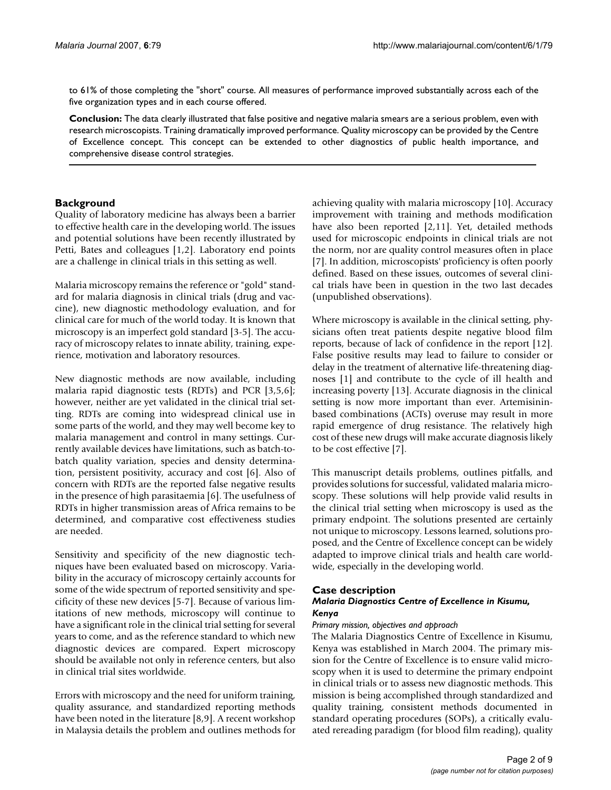to 61% of those completing the "short" course. All measures of performance improved substantially across each of the five organization types and in each course offered.

**Conclusion:** The data clearly illustrated that false positive and negative malaria smears are a serious problem, even with research microscopists. Training dramatically improved performance. Quality microscopy can be provided by the Centre of Excellence concept. This concept can be extended to other diagnostics of public health importance, and comprehensive disease control strategies.

# **Background**

Quality of laboratory medicine has always been a barrier to effective health care in the developing world. The issues and potential solutions have been recently illustrated by Petti, Bates and colleagues [1,2]. Laboratory end points are a challenge in clinical trials in this setting as well.

Malaria microscopy remains the reference or "gold" standard for malaria diagnosis in clinical trials (drug and vaccine), new diagnostic methodology evaluation, and for clinical care for much of the world today. It is known that microscopy is an imperfect gold standard [3-5]. The accuracy of microscopy relates to innate ability, training, experience, motivation and laboratory resources.

New diagnostic methods are now available, including malaria rapid diagnostic tests (RDTs) and PCR [3,5,6]; however, neither are yet validated in the clinical trial setting. RDTs are coming into widespread clinical use in some parts of the world, and they may well become key to malaria management and control in many settings. Currently available devices have limitations, such as batch-tobatch quality variation, species and density determination, persistent positivity, accuracy and cost [6]. Also of concern with RDTs are the reported false negative results in the presence of high parasitaemia [6]. The usefulness of RDTs in higher transmission areas of Africa remains to be determined, and comparative cost effectiveness studies are needed.

Sensitivity and specificity of the new diagnostic techniques have been evaluated based on microscopy. Variability in the accuracy of microscopy certainly accounts for some of the wide spectrum of reported sensitivity and specificity of these new devices [5-7]. Because of various limitations of new methods, microscopy will continue to have a significant role in the clinical trial setting for several years to come, and as the reference standard to which new diagnostic devices are compared. Expert microscopy should be available not only in reference centers, but also in clinical trial sites worldwide.

Errors with microscopy and the need for uniform training, quality assurance, and standardized reporting methods have been noted in the literature [8,9]. A recent workshop in Malaysia details the problem and outlines methods for achieving quality with malaria microscopy [10]. Accuracy improvement with training and methods modification have also been reported [2,11]. Yet, detailed methods used for microscopic endpoints in clinical trials are not the norm, nor are quality control measures often in place [7]. In addition, microscopists' proficiency is often poorly defined. Based on these issues, outcomes of several clinical trials have been in question in the two last decades (unpublished observations).

Where microscopy is available in the clinical setting, physicians often treat patients despite negative blood film reports, because of lack of confidence in the report [12]. False positive results may lead to failure to consider or delay in the treatment of alternative life-threatening diagnoses [1] and contribute to the cycle of ill health and increasing poverty [13]. Accurate diagnosis in the clinical setting is now more important than ever. Artemisininbased combinations (ACTs) overuse may result in more rapid emergence of drug resistance. The relatively high cost of these new drugs will make accurate diagnosis likely to be cost effective [7].

This manuscript details problems, outlines pitfalls, and provides solutions for successful, validated malaria microscopy. These solutions will help provide valid results in the clinical trial setting when microscopy is used as the primary endpoint. The solutions presented are certainly not unique to microscopy. Lessons learned, solutions proposed, and the Centre of Excellence concept can be widely adapted to improve clinical trials and health care worldwide, especially in the developing world.

# **Case description**

### *Malaria Diagnostics Centre of Excellence in Kisumu, Kenya*

*Primary mission, objectives and approach*

The Malaria Diagnostics Centre of Excellence in Kisumu, Kenya was established in March 2004. The primary mission for the Centre of Excellence is to ensure valid microscopy when it is used to determine the primary endpoint in clinical trials or to assess new diagnostic methods. This mission is being accomplished through standardized and quality training, consistent methods documented in standard operating procedures (SOPs), a critically evaluated rereading paradigm (for blood film reading), quality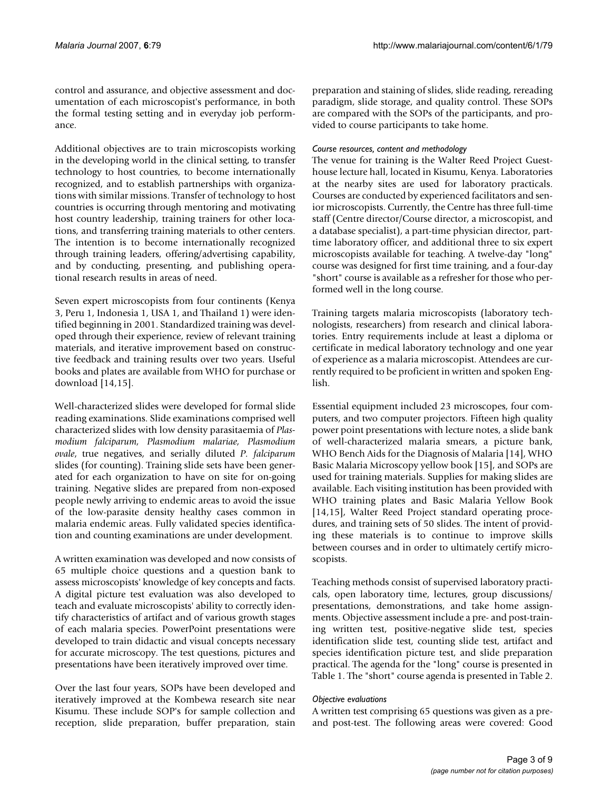control and assurance, and objective assessment and documentation of each microscopist's performance, in both the formal testing setting and in everyday job performance.

Additional objectives are to train microscopists working in the developing world in the clinical setting, to transfer technology to host countries, to become internationally recognized, and to establish partnerships with organizations with similar missions. Transfer of technology to host countries is occurring through mentoring and motivating host country leadership, training trainers for other locations, and transferring training materials to other centers. The intention is to become internationally recognized through training leaders, offering/advertising capability, and by conducting, presenting, and publishing operational research results in areas of need.

Seven expert microscopists from four continents (Kenya 3, Peru 1, Indonesia 1, USA 1, and Thailand 1) were identified beginning in 2001. Standardized training was developed through their experience, review of relevant training materials, and iterative improvement based on constructive feedback and training results over two years. Useful books and plates are available from WHO for purchase or download [14,15].

Well-characterized slides were developed for formal slide reading examinations. Slide examinations comprised well characterized slides with low density parasitaemia of *Plasmodium falciparum, Plasmodium malariae, Plasmodium ovale*, true negatives, and serially diluted *P. falciparum* slides (for counting). Training slide sets have been generated for each organization to have on site for on-going training. Negative slides are prepared from non-exposed people newly arriving to endemic areas to avoid the issue of the low-parasite density healthy cases common in malaria endemic areas. Fully validated species identification and counting examinations are under development.

A written examination was developed and now consists of 65 multiple choice questions and a question bank to assess microscopists' knowledge of key concepts and facts. A digital picture test evaluation was also developed to teach and evaluate microscopists' ability to correctly identify characteristics of artifact and of various growth stages of each malaria species. PowerPoint presentations were developed to train didactic and visual concepts necessary for accurate microscopy. The test questions, pictures and presentations have been iteratively improved over time.

Over the last four years, SOPs have been developed and iteratively improved at the Kombewa research site near Kisumu. These include SOP's for sample collection and reception, slide preparation, buffer preparation, stain

preparation and staining of slides, slide reading, rereading paradigm, slide storage, and quality control. These SOPs are compared with the SOPs of the participants, and provided to course participants to take home.

### *Course resources, content and methodology*

The venue for training is the Walter Reed Project Guesthouse lecture hall, located in Kisumu, Kenya. Laboratories at the nearby sites are used for laboratory practicals. Courses are conducted by experienced facilitators and senior microscopists. Currently, the Centre has three full-time staff (Centre director/Course director, a microscopist, and a database specialist), a part-time physician director, parttime laboratory officer, and additional three to six expert microscopists available for teaching. A twelve-day "long" course was designed for first time training, and a four-day "short" course is available as a refresher for those who performed well in the long course.

Training targets malaria microscopists (laboratory technologists, researchers) from research and clinical laboratories. Entry requirements include at least a diploma or certificate in medical laboratory technology and one year of experience as a malaria microscopist. Attendees are currently required to be proficient in written and spoken English.

Essential equipment included 23 microscopes, four computers, and two computer projectors. Fifteen high quality power point presentations with lecture notes, a slide bank of well-characterized malaria smears, a picture bank, WHO Bench Aids for the Diagnosis of Malaria [14], WHO Basic Malaria Microscopy yellow book [15], and SOPs are used for training materials. Supplies for making slides are available. Each visiting institution has been provided with WHO training plates and Basic Malaria Yellow Book [14,15], Walter Reed Project standard operating procedures, and training sets of 50 slides. The intent of providing these materials is to continue to improve skills between courses and in order to ultimately certify microscopists.

Teaching methods consist of supervised laboratory practicals, open laboratory time, lectures, group discussions/ presentations, demonstrations, and take home assignments. Objective assessment include a pre- and post-training written test, positive-negative slide test, species identification slide test, counting slide test, artifact and species identification picture test, and slide preparation practical. The agenda for the "long" course is presented in Table [1](#page-3-0). The "short" course agenda is presented in Table [2.](#page-4-0)

### *Objective evaluations*

A written test comprising 65 questions was given as a preand post-test. The following areas were covered: Good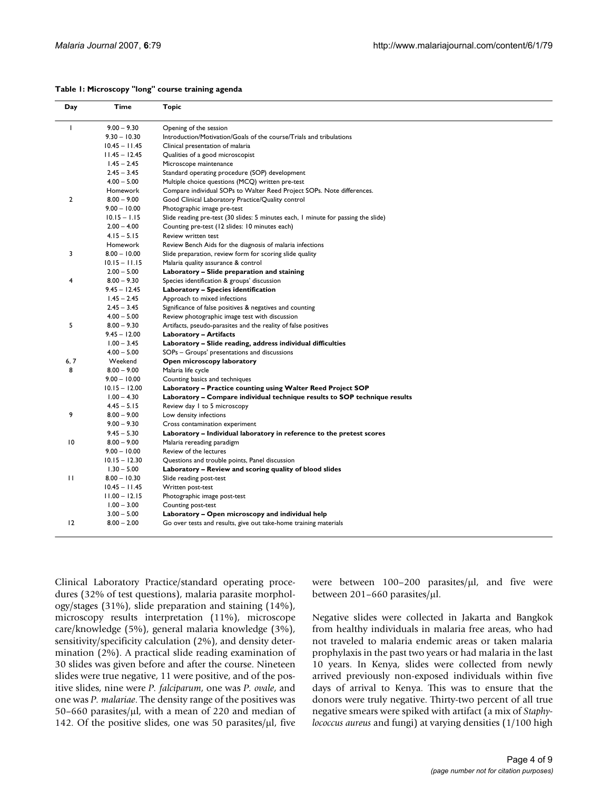| Day             | Time            | Topic                                                                              |
|-----------------|-----------------|------------------------------------------------------------------------------------|
| $\mathbf{I}$    | $9.00 - 9.30$   | Opening of the session                                                             |
|                 | $9.30 - 10.30$  | Introduction/Motivation/Goals of the course/Trials and tribulations                |
|                 | $10.45 - 11.45$ | Clinical presentation of malaria                                                   |
|                 | $11.45 - 12.45$ | Qualities of a good microscopist                                                   |
|                 | $1.45 - 2.45$   | Microscope maintenance                                                             |
|                 | $2.45 - 3.45$   | Standard operating procedure (SOP) development                                     |
|                 | $4.00 - 5.00$   | Multiple choice questions (MCQ) written pre-test                                   |
|                 | Homework        | Compare individual SOPs to Walter Reed Project SOPs. Note differences.             |
| $\overline{2}$  | $8.00 - 9.00$   | Good Clinical Laboratory Practice/Quality control                                  |
|                 | $9.00 - 10.00$  | Photographic image pre-test                                                        |
|                 | $10.15 - 1.15$  | Slide reading pre-test (30 slides: 5 minutes each, 1 minute for passing the slide) |
|                 | $2.00 - 4.00$   | Counting pre-test (12 slides: 10 minutes each)                                     |
|                 | $4.15 - 5.15$   | Review written test                                                                |
|                 | Homework        | Review Bench Aids for the diagnosis of malaria infections                          |
| 3               | $8.00 - 10.00$  | Slide preparation, review form for scoring slide quality                           |
|                 | $10.15 - 11.15$ | Malaria quality assurance & control                                                |
|                 | $2.00 - 5.00$   | Laboratory - Slide preparation and staining                                        |
| 4               | $8.00 - 9.30$   | Species identification & groups' discussion                                        |
|                 | $9.45 - 12.45$  | Laboratory - Species identification                                                |
|                 | $1.45 - 2.45$   | Approach to mixed infections                                                       |
|                 | $2.45 - 3.45$   | Significance of false positives & negatives and counting                           |
|                 | $4.00 - 5.00$   | Review photographic image test with discussion                                     |
| 5               | $8.00 - 9.30$   | Artifacts, pseudo-parasites and the reality of false positives                     |
|                 | $9.45 - 12.00$  | <b>Laboratory - Artifacts</b>                                                      |
|                 | $1.00 - 3.45$   | Laboratory - Slide reading, address individual difficulties                        |
|                 | $4.00 - 5.00$   | SOPs - Groups' presentations and discussions                                       |
| 6, 7            | Weekend         | Open microscopy laboratory                                                         |
| 8               | $8.00 - 9.00$   | Malaria life cycle                                                                 |
|                 | $9.00 - 10.00$  | Counting basics and techniques                                                     |
|                 | $10.15 - 12.00$ | Laboratory - Practice counting using Walter Reed Project SOP                       |
|                 | $1.00 - 4.30$   | Laboratory - Compare individual technique results to SOP technique results         |
|                 | $4.45 - 5.15$   | Review day 1 to 5 microscopy                                                       |
| 9               | $8.00 - 9.00$   | Low density infections                                                             |
|                 | $9.00 - 9.30$   | Cross contamination experiment                                                     |
|                 | $9.45 - 5.30$   | Laboratory – Individual laboratory in reference to the pretest scores              |
| $\overline{10}$ | $8.00 - 9.00$   | Malaria rereading paradigm                                                         |
|                 | $9.00 - 10.00$  | Review of the lectures                                                             |
|                 | $10.15 - 12.30$ | Questions and trouble points, Panel discussion                                     |
|                 | $1.30 - 5.00$   | Laboratory - Review and scoring quality of blood slides                            |
| $\mathbf{H}$    | $8.00 - 10.30$  | Slide reading post-test                                                            |
|                 | $10.45 - 11.45$ | Written post-test                                                                  |
|                 | $11.00 - 12.15$ | Photographic image post-test                                                       |
|                 | $1.00 - 3.00$   | Counting post-test                                                                 |
|                 | $3.00 - 5.00$   | Laboratory - Open microscopy and individual help                                   |
| 12              | $8.00 - 2.00$   | Go over tests and results, give out take-home training materials                   |
|                 |                 |                                                                                    |

#### <span id="page-3-0"></span>**Table 1: Microscopy "long" course training agenda**

Clinical Laboratory Practice/standard operating procedures (32% of test questions), malaria parasite morphology/stages (31%), slide preparation and staining (14%), microscopy results interpretation (11%), microscope care/knowledge (5%), general malaria knowledge (3%), sensitivity/specificity calculation (2%), and density determination (2%). A practical slide reading examination of 30 slides was given before and after the course. Nineteen slides were true negative, 11 were positive, and of the positive slides, nine were *P. falciparum*, one was *P. ovale*, and one was *P. malariae*. The density range of the positives was 50–660 parasites/μl, with a mean of 220 and median of 142. Of the positive slides, one was 50 parasites/μl, five were between 100–200 parasites/μl, and five were between 201–660 parasites/μl.

Negative slides were collected in Jakarta and Bangkok from healthy individuals in malaria free areas, who had not traveled to malaria endemic areas or taken malaria prophylaxis in the past two years or had malaria in the last 10 years. In Kenya, slides were collected from newly arrived previously non-exposed individuals within five days of arrival to Kenya. This was to ensure that the donors were truly negative. Thirty-two percent of all true negative smears were spiked with artifact (a mix of *Staphylococcus aureus* and fungi) at varying densities (1/100 high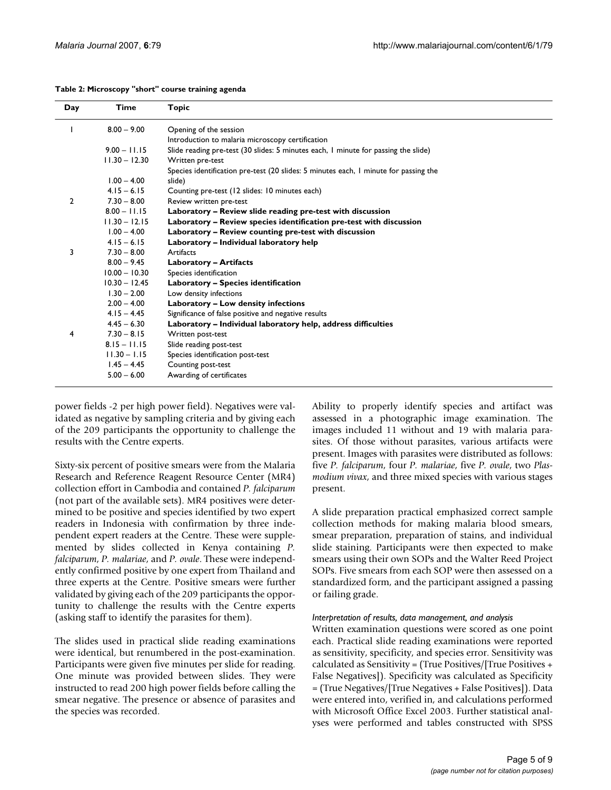| Day            | <b>Time</b>     | <b>Topic</b>                                                                         |
|----------------|-----------------|--------------------------------------------------------------------------------------|
|                | $8.00 - 9.00$   | Opening of the session                                                               |
|                |                 | Introduction to malaria microscopy certification                                     |
|                | $9.00 - 11.15$  | Slide reading pre-test (30 slides: 5 minutes each, 1 minute for passing the slide)   |
|                | $11.30 - 12.30$ | Written pre-test                                                                     |
|                |                 | Species identification pre-test (20 slides: 5 minutes each, 1 minute for passing the |
|                | $1.00 - 4.00$   | slide)                                                                               |
|                | $4.15 - 6.15$   | Counting pre-test (12 slides: 10 minutes each)                                       |
| $\overline{2}$ | $7.30 - 8.00$   | Review written pre-test                                                              |
|                | $8.00 - 11.15$  | Laboratory - Review slide reading pre-test with discussion                           |
|                | $11.30 - 12.15$ | Laboratory - Review species identification pre-test with discussion                  |
|                | $1.00 - 4.00$   | Laboratory - Review counting pre-test with discussion                                |
|                | $4.15 - 6.15$   | Laboratory - Individual laboratory help                                              |
| 3              | $7.30 - 8.00$   | Artifacts                                                                            |
|                | $8.00 - 9.45$   | <b>Laboratory - Artifacts</b>                                                        |
|                | $10.00 - 10.30$ | Species identification                                                               |
|                | $10.30 - 12.45$ | Laboratory - Species identification                                                  |
|                | $1.30 - 2.00$   | Low density infections                                                               |
|                | $2.00 - 4.00$   | Laboratory - Low density infections                                                  |
|                | $4.15 - 4.45$   | Significance of false positive and negative results                                  |
|                | $4.45 - 6.30$   | Laboratory - Individual laboratory help, address difficulties                        |
| 4              | $7.30 - 8.15$   | Written post-test                                                                    |
|                | $8.15 - 11.15$  | Slide reading post-test                                                              |
|                | $11.30 - 1.15$  | Species identification post-test                                                     |
|                | $1.45 - 4.45$   | Counting post-test                                                                   |
|                | $5.00 - 6.00$   | Awarding of certificates                                                             |

#### <span id="page-4-0"></span>**Table 2: Microscopy "short" course training agenda**

power fields -2 per high power field). Negatives were validated as negative by sampling criteria and by giving each of the 209 participants the opportunity to challenge the results with the Centre experts.

Sixty-six percent of positive smears were from the Malaria Research and Reference Reagent Resource Center (MR4) collection effort in Cambodia and contained *P. falciparum* (not part of the available sets). MR4 positives were determined to be positive and species identified by two expert readers in Indonesia with confirmation by three independent expert readers at the Centre. These were supplemented by slides collected in Kenya containing *P. falciparum*, *P. malariae*, and *P. ovale*. These were independently confirmed positive by one expert from Thailand and three experts at the Centre. Positive smears were further validated by giving each of the 209 participants the opportunity to challenge the results with the Centre experts (asking staff to identify the parasites for them).

The slides used in practical slide reading examinations were identical, but renumbered in the post-examination. Participants were given five minutes per slide for reading. One minute was provided between slides. They were instructed to read 200 high power fields before calling the smear negative. The presence or absence of parasites and the species was recorded.

Ability to properly identify species and artifact was assessed in a photographic image examination. The images included 11 without and 19 with malaria parasites. Of those without parasites, various artifacts were present. Images with parasites were distributed as follows: five *P. falciparum*, four *P. malariae*, five *P. ovale*, two *Plasmodium vivax*, and three mixed species with various stages present.

A slide preparation practical emphasized correct sample collection methods for making malaria blood smears, smear preparation, preparation of stains, and individual slide staining. Participants were then expected to make smears using their own SOPs and the Walter Reed Project SOPs. Five smears from each SOP were then assessed on a standardized form, and the participant assigned a passing or failing grade.

#### *Interpretation of results, data management, and analysis*

Written examination questions were scored as one point each. Practical slide reading examinations were reported as sensitivity, specificity, and species error. Sensitivity was calculated as Sensitivity = (True Positives/[True Positives + False Negatives]). Specificity was calculated as Specificity = (True Negatives/[True Negatives + False Positives]). Data were entered into, verified in, and calculations performed with Microsoft Office Excel 2003. Further statistical analyses were performed and tables constructed with SPSS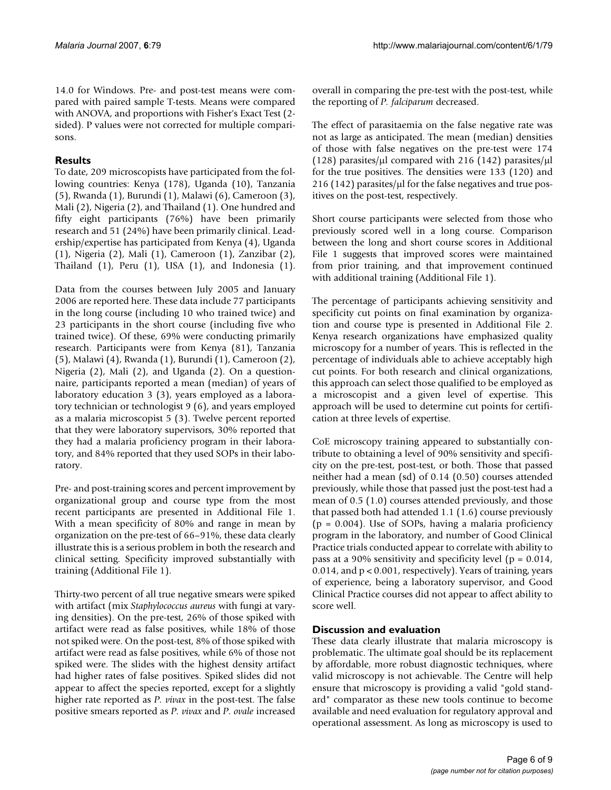14.0 for Windows. Pre- and post-test means were compared with paired sample T-tests. Means were compared with ANOVA, and proportions with Fisher's Exact Test (2 sided). P values were not corrected for multiple comparisons.

# **Results**

To date, 209 microscopists have participated from the following countries: Kenya (178), Uganda (10), Tanzania (5), Rwanda (1), Burundi (1), Malawi (6), Cameroon (3), Mali (2), Nigeria (2), and Thailand (1). One hundred and fifty eight participants (76%) have been primarily research and 51 (24%) have been primarily clinical. Leadership/expertise has participated from Kenya (4), Uganda (1), Nigeria (2), Mali (1), Cameroon (1), Zanzibar (2), Thailand (1), Peru (1), USA (1), and Indonesia (1).

Data from the courses between July 2005 and January 2006 are reported here. These data include 77 participants in the long course (including 10 who trained twice) and 23 participants in the short course (including five who trained twice). Of these, 69% were conducting primarily research. Participants were from Kenya (81), Tanzania (5), Malawi (4), Rwanda (1), Burundi (1), Cameroon (2), Nigeria (2), Mali (2), and Uganda (2). On a questionnaire, participants reported a mean (median) of years of laboratory education 3 (3), years employed as a laboratory technician or technologist 9 (6), and years employed as a malaria microscopist 5 (3). Twelve percent reported that they were laboratory supervisors, 30% reported that they had a malaria proficiency program in their laboratory, and 84% reported that they used SOPs in their laboratory.

Pre- and post-training scores and percent improvement by organizational group and course type from the most recent participants are presented in Additional File 1. With a mean specificity of 80% and range in mean by organization on the pre-test of 66–91%, these data clearly illustrate this is a serious problem in both the research and clinical setting. Specificity improved substantially with training (Additional File 1).

Thirty-two percent of all true negative smears were spiked with artifact (mix *Staphylococcus aureus* with fungi at varying densities). On the pre-test, 26% of those spiked with artifact were read as false positives, while 18% of those not spiked were. On the post-test, 8% of those spiked with artifact were read as false positives, while 6% of those not spiked were. The slides with the highest density artifact had higher rates of false positives. Spiked slides did not appear to affect the species reported, except for a slightly higher rate reported as *P. vivax* in the post-test. The false positive smears reported as *P. vivax* and *P. ovale* increased overall in comparing the pre-test with the post-test, while the reporting of *P. falciparum* decreased.

The effect of parasitaemia on the false negative rate was not as large as anticipated. The mean (median) densities of those with false negatives on the pre-test were 174 (128) parasites/μl compared with 216 (142) parasites/μl for the true positives. The densities were 133 (120) and 216 (142) parasites/μl for the false negatives and true positives on the post-test, respectively.

Short course participants were selected from those who previously scored well in a long course. Comparison between the long and short course scores in Additional File 1 suggests that improved scores were maintained from prior training, and that improvement continued with additional training (Additional File 1).

The percentage of participants achieving sensitivity and specificity cut points on final examination by organization and course type is presented in Additional File 2. Kenya research organizations have emphasized quality microscopy for a number of years. This is reflected in the percentage of individuals able to achieve acceptably high cut points. For both research and clinical organizations, this approach can select those qualified to be employed as a microscopist and a given level of expertise. This approach will be used to determine cut points for certification at three levels of expertise.

CoE microscopy training appeared to substantially contribute to obtaining a level of 90% sensitivity and specificity on the pre-test, post-test, or both. Those that passed neither had a mean (sd) of 0.14 (0.50) courses attended previously, while those that passed just the post-test had a mean of 0.5 (1.0) courses attended previously, and those that passed both had attended 1.1 (1.6) course previously  $(p = 0.004)$ . Use of SOPs, having a malaria proficiency program in the laboratory, and number of Good Clinical Practice trials conducted appear to correlate with ability to pass at a 90% sensitivity and specificity level ( $p = 0.014$ , 0.014, and p < 0.001, respectively). Years of training, years of experience, being a laboratory supervisor, and Good Clinical Practice courses did not appear to affect ability to score well.

# **Discussion and evaluation**

These data clearly illustrate that malaria microscopy is problematic. The ultimate goal should be its replacement by affordable, more robust diagnostic techniques, where valid microscopy is not achievable. The Centre will help ensure that microscopy is providing a valid "gold standard" comparator as these new tools continue to become available and need evaluation for regulatory approval and operational assessment. As long as microscopy is used to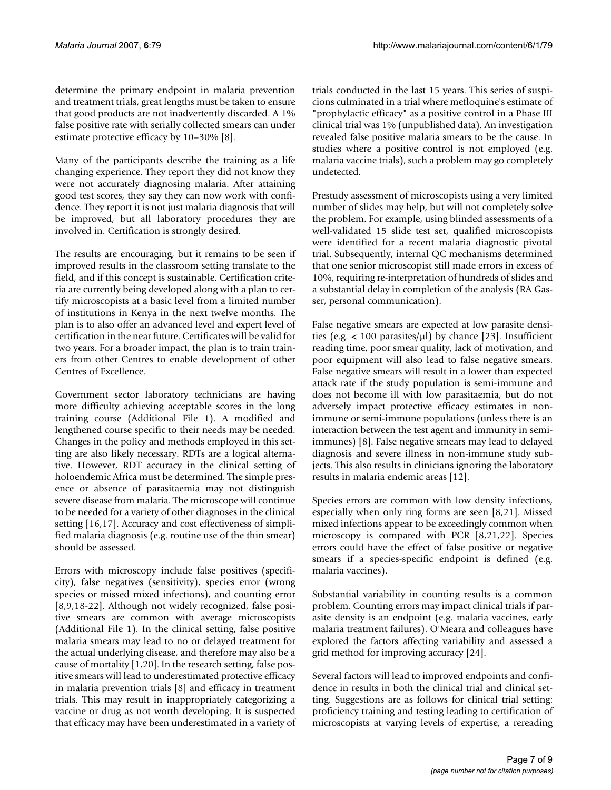determine the primary endpoint in malaria prevention and treatment trials, great lengths must be taken to ensure that good products are not inadvertently discarded. A 1% false positive rate with serially collected smears can under estimate protective efficacy by 10–30% [8].

Many of the participants describe the training as a life changing experience. They report they did not know they were not accurately diagnosing malaria. After attaining good test scores, they say they can now work with confidence. They report it is not just malaria diagnosis that will be improved, but all laboratory procedures they are involved in. Certification is strongly desired.

The results are encouraging, but it remains to be seen if improved results in the classroom setting translate to the field, and if this concept is sustainable. Certification criteria are currently being developed along with a plan to certify microscopists at a basic level from a limited number of institutions in Kenya in the next twelve months. The plan is to also offer an advanced level and expert level of certification in the near future. Certificates will be valid for two years. For a broader impact, the plan is to train trainers from other Centres to enable development of other Centres of Excellence.

Government sector laboratory technicians are having more difficulty achieving acceptable scores in the long training course (Additional File 1). A modified and lengthened course specific to their needs may be needed. Changes in the policy and methods employed in this setting are also likely necessary. RDTs are a logical alternative. However, RDT accuracy in the clinical setting of holoendemic Africa must be determined. The simple presence or absence of parasitaemia may not distinguish severe disease from malaria. The microscope will continue to be needed for a variety of other diagnoses in the clinical setting [16,17]. Accuracy and cost effectiveness of simplified malaria diagnosis (e.g. routine use of the thin smear) should be assessed.

Errors with microscopy include false positives (specificity), false negatives (sensitivity), species error (wrong species or missed mixed infections), and counting error [8,9,18[-22](#page-8-0)]. Although not widely recognized, false positive smears are common with average microscopists (Additional File 1). In the clinical setting, false positive malaria smears may lead to no or delayed treatment for the actual underlying disease, and therefore may also be a cause of mortality [1,20]. In the research setting, false positive smears will lead to underestimated protective efficacy in malaria prevention trials [8] and efficacy in treatment trials. This may result in inappropriately categorizing a vaccine or drug as not worth developing. It is suspected that efficacy may have been underestimated in a variety of trials conducted in the last 15 years. This series of suspicions culminated in a trial where mefloquine's estimate of "prophylactic efficacy" as a positive control in a Phase III clinical trial was 1% (unpublished data). An investigation revealed false positive malaria smears to be the cause. In studies where a positive control is not employed (e.g. malaria vaccine trials), such a problem may go completely undetected.

Prestudy assessment of microscopists using a very limited number of slides may help, but will not completely solve the problem. For example, using blinded assessments of a well-validated 15 slide test set, qualified microscopists were identified for a recent malaria diagnostic pivotal trial. Subsequently, internal QC mechanisms determined that one senior microscopist still made errors in excess of 10%, requiring re-interpretation of hundreds of slides and a substantial delay in completion of the analysis (RA Gasser, personal communication).

False negative smears are expected at low parasite densities (e.g.  $< 100$  parasites/ $\mu$ l) by chance [23]. Insufficient reading time, poor smear quality, lack of motivation, and poor equipment will also lead to false negative smears. False negative smears will result in a lower than expected attack rate if the study population is semi-immune and does not become ill with low parasitaemia, but do not adversely impact protective efficacy estimates in nonimmune or semi-immune populations (unless there is an interaction between the test agent and immunity in semiimmunes) [8]. False negative smears may lead to delayed diagnosis and severe illness in non-immune study subjects. This also results in clinicians ignoring the laboratory results in malaria endemic areas [12].

Species errors are common with low density infections, especially when only ring forms are seen [8,21]. Missed mixed infections appear to be exceedingly common when microscopy is compared with PCR [8,21[,22](#page-8-0)]. Species errors could have the effect of false positive or negative smears if a species-specific endpoint is defined (e.g. malaria vaccines).

Substantial variability in counting results is a common problem. Counting errors may impact clinical trials if parasite density is an endpoint (e.g. malaria vaccines, early malaria treatment failures). O'Meara and colleagues have explored the factors affecting variability and assessed a grid method for improving accuracy [24].

Several factors will lead to improved endpoints and confidence in results in both the clinical trial and clinical setting. Suggestions are as follows for clinical trial setting: proficiency training and testing leading to certification of microscopists at varying levels of expertise, a rereading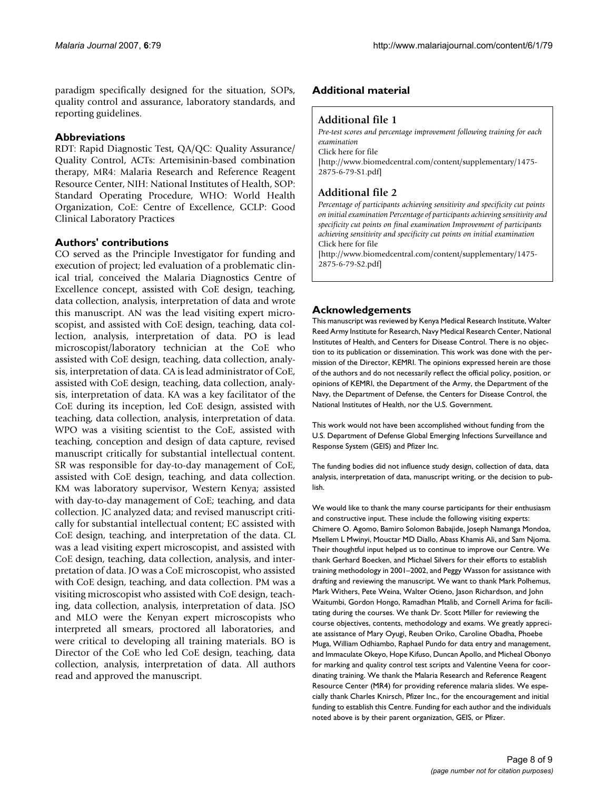paradigm specifically designed for the situation, SOPs, quality control and assurance, laboratory standards, and reporting guidelines.

# **Abbreviations**

RDT: Rapid Diagnostic Test, QA/QC: Quality Assurance/ Quality Control, ACTs: Artemisinin-based combination therapy, MR4: Malaria Research and Reference Reagent Resource Center, NIH: National Institutes of Health, SOP: Standard Operating Procedure, WHO: World Health Organization, CoE: Centre of Excellence, GCLP: Good Clinical Laboratory Practices

# **Authors' contributions**

CO served as the Principle Investigator for funding and execution of project; led evaluation of a problematic clinical trial, conceived the Malaria Diagnostics Centre of Excellence concept, assisted with CoE design, teaching, data collection, analysis, interpretation of data and wrote this manuscript. AN was the lead visiting expert microscopist, and assisted with CoE design, teaching, data collection, analysis, interpretation of data. PO is lead microscopist/laboratory technician at the CoE who assisted with CoE design, teaching, data collection, analysis, interpretation of data. CA is lead administrator of CoE, assisted with CoE design, teaching, data collection, analysis, interpretation of data. KA was a key facilitator of the CoE during its inception, led CoE design, assisted with teaching, data collection, analysis, interpretation of data. WPO was a visiting scientist to the CoE, assisted with teaching, conception and design of data capture, revised manuscript critically for substantial intellectual content. SR was responsible for day-to-day management of CoE, assisted with CoE design, teaching, and data collection. KM was laboratory supervisor, Western Kenya; assisted with day-to-day management of CoE; teaching, and data collection. JC analyzed data; and revised manuscript critically for substantial intellectual content; EC assisted with CoE design, teaching, and interpretation of the data. CL was a lead visiting expert microscopist, and assisted with CoE design, teaching, data collection, analysis, and interpretation of data. JO was a CoE microscopist, who assisted with CoE design, teaching, and data collection. PM was a visiting microscopist who assisted with CoE design, teaching, data collection, analysis, interpretation of data. JSO and MLO were the Kenyan expert microscopists who interpreted all smears, proctored all laboratories, and were critical to developing all training materials. BO is Director of the CoE who led CoE design, teaching, data collection, analysis, interpretation of data. All authors read and approved the manuscript.

# **Additional material**

## **Additional file 1**

*Pre-test scores and percentage improvement following training for each examination* Click here for file [\[http://www.biomedcentral.com/content/supplementary/1475-](http://www.biomedcentral.com/content/supplementary/1475-2875-6-79-S1.pdf) 2875-6-79-S1.pdf]

# **Additional file 2**

*Percentage of participants achieving sensitivity and specificity cut points on initial examination Percentage of participants achieving sensitivity and specificity cut points on final examination Improvement of participants achieving sensitivity and specificity cut points on initial examination* Click here for file

[\[http://www.biomedcentral.com/content/supplementary/1475-](http://www.biomedcentral.com/content/supplementary/1475-2875-6-79-S2.pdf) 2875-6-79-S2.pdf]

# **Acknowledgements**

This manuscript was reviewed by Kenya Medical Research Institute, Walter Reed Army Institute for Research, Navy Medical Research Center, National Institutes of Health, and Centers for Disease Control. There is no objection to its publication or dissemination. This work was done with the permission of the Director, KEMRI. The opinions expressed herein are those of the authors and do not necessarily reflect the official policy, position, or opinions of KEMRI, the Department of the Army, the Department of the Navy, the Department of Defense, the Centers for Disease Control, the National Institutes of Health, nor the U.S. Government.

This work would not have been accomplished without funding from the U.S. Department of Defense Global Emerging Infections Surveillance and Response System (GEIS) and Pfizer Inc.

The funding bodies did not influence study design, collection of data, data analysis, interpretation of data, manuscript writing, or the decision to publish.

We would like to thank the many course participants for their enthusiasm and constructive input. These include the following visiting experts: Chimere O. Agomo, Bamiro Solomon Babajide, Joseph Namanga Mondoa, Msellem L Mwinyi, Mouctar MD Diallo, Abass Khamis Ali, and Sam Njoma. Their thoughtful input helped us to continue to improve our Centre. We thank Gerhard Boecken, and Michael Silvers for their efforts to establish training methodology in 2001–2002, and Peggy Wasson for assistance with drafting and reviewing the manuscript. We want to thank Mark Polhemus, Mark Withers, Pete Weina, Walter Otieno, Jason Richardson, and John Waitumbi, Gordon Hongo, Ramadhan Mtalib, and Cornell Arima for facilitating during the courses. We thank Dr. Scott Miller for reviewing the course objectives, contents, methodology and exams. We greatly appreciate assistance of Mary Oyugi, Reuben Oriko, Caroline Obadha, Phoebe Muga, William Odhiambo, Raphael Pundo for data entry and management, and Immaculate Okeyo, Hope Kifuso, Duncan Apollo, and Micheal Obonyo for marking and quality control test scripts and Valentine Veena for coordinating training. We thank the Malaria Research and Reference Reagent Resource Center (MR4) for providing reference malaria slides. We especially thank Charles Knirsch, Pfizer Inc., for the encouragement and initial funding to establish this Centre. Funding for each author and the individuals noted above is by their parent organization, GEIS, or Pfizer.